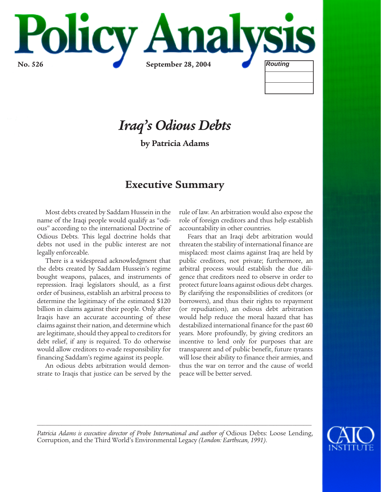

# *Iraq's Odious Debts*

**by Patricia Adams**

# **Executive Summary**

Most debts created by Saddam Hussein in the name of the Iraqi people would qualify as "odious" according to the international Doctrine of Odious Debts. This legal doctrine holds that debts not used in the public interest are not legally enforceable.

There is a widespread acknowledgment that the debts created by Saddam Hussein's regime bought weapons, palaces, and instruments of repression. Iraqi legislators should, as a first order of business, establish an arbitral process to determine the legitimacy of the estimated \$120 billion in claims against their people. Only after Iraqis have an accurate accounting of these claims against their nation, and determine which are legitimate, should they appeal to creditors for debt relief, if any is required. To do otherwise would allow creditors to evade responsibility for financing Saddam's regime against its people.

An odious debts arbitration would demonstrate to Iraqis that justice can be served by the rule of law. An arbitration would also expose the role of foreign creditors and thus help establish accountability in other countries.

Fears that an Iraqi debt arbitration would threaten the stability of international finance are misplaced: most claims against Iraq are held by public creditors, not private; furthermore, an arbitral process would establish the due diligence that creditors need to observe in order to protect future loans against odious debt charges. By clarifying the responsibilities of creditors (or borrowers), and thus their rights to repayment (or repudiation), an odious debt arbitration would help reduce the moral hazard that has destabilized international finance for the past 60 years. More profoundly, by giving creditors an incentive to lend only for purposes that are transparent and of public benefit, future tyrants will lose their ability to finance their armies, and thus the war on terror and the cause of world peace will be better served.



Patricia Adams is executive director of Probe International and author of Odious Debts: Loose Lending, Corruption, and the Third World's Environmental Legacy *(London: Earthscan, 1991)*.

*\_\_\_\_\_\_\_\_\_\_\_\_\_\_\_\_\_\_\_\_\_\_\_\_\_\_\_\_\_\_\_\_\_\_\_\_\_\_\_\_\_\_\_\_\_\_\_\_\_\_\_\_\_\_\_\_\_\_\_\_\_\_\_\_\_\_\_\_\_\_\_\_\_\_\_\_\_\_\_\_\_\_\_\_\_\_\_\_\_\_\_\_\_\_\_\_\_\_\_\_\_*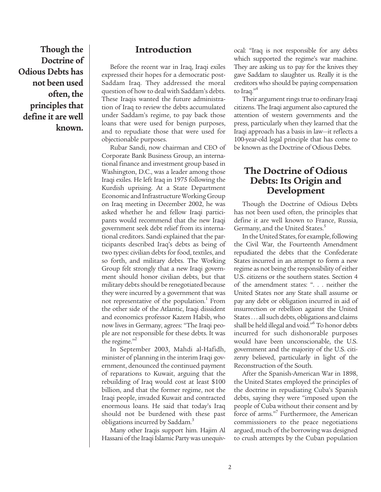**Though the Doctrine of Odious Debts has not been used often, the principles that define it are well known.**

### **Introduction**

Before the recent war in Iraq, Iraqi exiles expressed their hopes for a democratic post-Saddam Iraq. They addressed the moral question of how to deal with Saddam's debts. These Iraqis wanted the future administration of Iraq to review the debts accumulated under Saddam's regime, to pay back those loans that were used for benign purposes, and to repudiate those that were used for objectionable purposes.

Rubar Sandi, now chairman and CEO of Corporate Bank Business Group, an international finance and investment group based in Washington, D.C., was a leader among those Iraqi exiles. He left Iraq in 1975 following the Kurdish uprising. At a State Department Economic and Infrastructure Working Group on Iraq meeting in December 2002, he was asked whether he and fellow Iraqi participants would recommend that the new Iraqi government seek debt relief from its international creditors. Sandi explained that the participants described Iraq's debts as being of two types: civilian debts for food, textiles, and so forth, and military debts. The Working Group felt strongly that a new Iraqi government should honor civilian debts, but that military debts should be renegotiated because they were incurred by a government that was not representative of the population.<sup>1</sup> From the other side of the Atlantic, Iraqi dissident and economics professor Kazem Habib, who now lives in Germany, agrees: "The Iraqi people are not responsible for these debts. It was the regime. $n^2$ 

In September 2003, Mahdi al-Hafidh, minister of planning in the interim Iraqi government, denounced the continued payment of reparations to Kuwait, arguing that the rebuilding of Iraq would cost at least \$100 billion, and that the former regime, not the Iraqi people, invaded Kuwait and contracted enormous loans. He said that today's Iraq should not be burdened with these past obligations incurred by Saddam.<sup>3</sup>

Many other Iraqis support him. Hajim Al Hassani of the Iraqi Islamic Party was unequivocal: "Iraq is not responsible for any debts which supported the regime's war machine. They are asking us to pay for the knives they gave Saddam to slaughter us. Really it is the creditors who should be paying compensation to Iraq."<sup>4</sup>

Their argument rings true to ordinary Iraqi citizens. The Iraqi argument also captured the attention of western governments and the press, particularly when they learned that the Iraqi approach has a basis in law—it reflects a 100-year-old legal principle that has come to be known as the Doctrine of Odious Debts.

### **The Doctrine of Odious Debts: Its Origin and Development**

Though the Doctrine of Odious Debts has not been used often, the principles that define it are well known to France, Russia, Germany, and the United States.<sup>5</sup>

In the United States, for example, following the Civil War, the Fourteenth Amendment repudiated the debts that the Confederate States incurred in an attempt to form a new regime as not being the responsibility of either U.S. citizens or the southern states. Section 4 of the amendment states: ". . . neither the United States nor any State shall assume or pay any debt or obligation incurred in aid of insurrection or rebellion against the United States . . . all such debts, obligations and claims shall be held illegal and void."<sup>6</sup> To honor debts incurred for such dishonorable purposes would have been unconscionable, the U.S. government and the majority of the U.S. citizenry believed, particularly in light of the Reconstruction of the South.

After the Spanish-American War in 1898, the United States employed the principles of the doctrine in repudiating Cuba's Spanish debts, saying they were "imposed upon the people of Cuba without their consent and by force of arms."<sup>7</sup> Furthermore, the American commissioners to the peace negotiations argued, much of the borrowing was designed to crush attempts by the Cuban population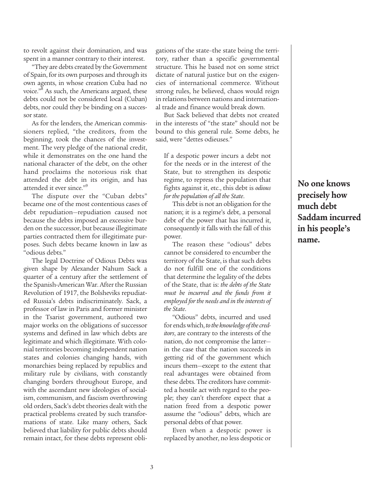to revolt against their domination, and was spent in a manner contrary to their interest.

"They are debts created by the Government of Spain, for its own purposes and through its own agents, in whose creation Cuba had no voice."8 As such, the Americans argued, these debts could not be considered local (Cuban) debts, nor could they be binding on a successor state.

As for the lenders, the American commissioners replied, "the creditors, from the beginning, took the chances of the investment. The very pledge of the national credit, while it demonstrates on the one hand the national character of the debt, on the other hand proclaims the notorious risk that attended the debt in its origin, and has attended it ever since."9

The dispute over the "Cuban debts" became one of the most contentious cases of debt repudiation—repudiation caused not because the debts imposed an excessive burden on the successor, but because illegitimate parties contracted them for illegitimate purposes. Such debts became known in law as "odious debts."

The legal Doctrine of Odious Debts was given shape by Alexander Nahum Sack a quarter of a century after the settlement of the Spanish-American War. After the Russian Revolution of 1917, the Bolsheviks repudiated Russia's debts indiscriminately. Sack, a professor of law in Paris and former minister in the Tsarist government, authored two major works on the obligations of successor systems and defined in law which debts are legitimate and which illegitimate. With colonial territories becoming independent nation states and colonies changing hands, with monarchies being replaced by republics and military rule by civilians, with constantly changing borders throughout Europe, and with the ascendant new ideologies of socialism, communism, and fascism overthrowing old orders, Sack's debt theories dealt with the practical problems created by such transformations of state. Like many others, Sack believed that liability for public debts should remain intact, for these debts represent obligations of the state–the state being the territory, rather than a specific governmental structure. This he based not on some strict dictate of natural justice but on the exigencies of international commerce. Without strong rules, he believed, chaos would reign in relations between nations and international trade and finance would break down.

But Sack believed that debts not created in the interests of "the state" should not be bound to this general rule. Some debts, he said, were "dettes odieuses."

If a despotic power incurs a debt not for the needs or in the interest of the State, but to strengthen its despotic regime, to repress the population that fights against it, etc., this debt is *odious for the population of all the State*.

This debt is not an obligation for the nation; it is a regime's debt, a personal debt of the power that has incurred it, consequently it falls with the fall of this power.

The reason these "odious" debts cannot be considered to encumber the territory of the State, is that such debts do not fulfill one of the conditions that determine the legality of the debts of the State, that is: *the debts of the State must be incurred and the funds from it employed for the needs and in the interests of the State*.

"Odious" debts, incurred and used for ends which, *to the knowledge of the creditors*, are contrary to the interests of the nation, do not compromise the latter in the case that the nation succeeds in getting rid of the government which incurs them—except to the extent that real advantages were obtained from these debts. The creditors have committed a hostile act with regard to the people; they can't therefore expect that a nation freed from a despotic power assume the "odious" debts, which are personal debts of that power.

Even when a despotic power is replaced by another, no less despotic or **No one knows precisely how much debt Saddam incurred in his people's name.**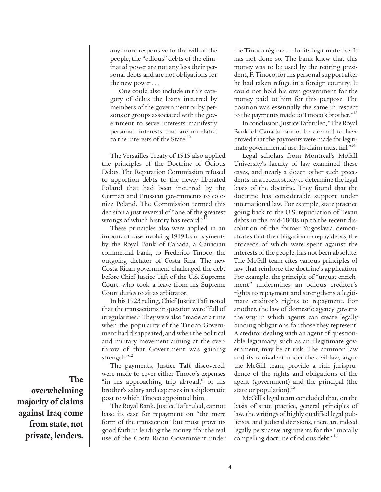any more responsive to the will of the people, the "odious" debts of the eliminated power are not any less their personal debts and are not obligations for the new power . . .

One could also include in this category of debts the loans incurred by members of the government or by persons or groups associated with the government to serve interests manifestly personal—interests that are unrelated to the interests of the State.<sup>10</sup>

The Versailles Treaty of 1919 also applied the principles of the Doctrine of Odious Debts. The Reparation Commission refused to apportion debts to the newly liberated Poland that had been incurred by the German and Prussian governments to colonize Poland. The Commission termed this decision a just reversal of "one of the greatest wrongs of which history has record."<sup>11</sup>

These principles also were applied in an important case involving 1919 loan payments by the Royal Bank of Canada, a Canadian commercial bank, to Frederico Tinoco, the outgoing dictator of Costa Rica. The new Costa Rican government challenged the debt before Chief Justice Taft of the U.S. Supreme Court, who took a leave from his Supreme Court duties to sit as arbitrator.

In his 1923 ruling, Chief Justice Taft noted that the transactions in question were "full of irregularities." They were also "made at a time when the popularity of the Tinoco Government had disappeared, and when the political and military movement aiming at the overthrow of that Government was gaining strength."12

The payments, Justice Taft discovered, were made to cover either Tinoco's expenses "in his approaching trip abroad," or his brother's salary and expenses in a diplomatic post to which Tinoco appointed him.

The Royal Bank, Justice Taft ruled, cannot base its case for repayment on "the mere form of the transaction" but must prove its good faith in lending the money "for the real use of the Costa Rican Government under the Tinoco régime . . . for its legitimate use. It has not done so. The bank knew that this money was to be used by the retiring president, F. Tinoco, for his personal support after he had taken refuge in a foreign country. It could not hold his own government for the money paid to him for this purpose. The position was essentially the same in respect to the payments made to Tinoco's brother."<sup>13</sup>

In conclusion, Justice Taft ruled, "The Royal Bank of Canada cannot be deemed to have proved that the payments were made for legitimate governmental use. Its claim must fail."<sup>14</sup>

Legal scholars from Montreal's McGill University's faculty of law examined these cases, and nearly a dozen other such precedents, in a recent study to determine the legal basis of the doctrine. They found that the doctrine has considerable support under international law. For example, state practice going back to the U.S. repudiation of Texan debts in the mid-1800s up to the recent dissolution of the former Yugoslavia demonstrates that the obligation to repay debts, the proceeds of which were spent against the interests of the people, has not been absolute. The McGill team cites various principles of law that reinforce the doctrine's application. For example, the principle of "unjust enrichment" undermines an odious creditor's rights to repayment and strengthens a legitimate creditor's rights to repayment. For another, the law of domestic agency governs the way in which agents can create legally binding obligations for those they represent. A creditor dealing with an agent of questionable legitimacy, such as an illegitimate government, may be at risk. The common law and its equivalent under the civil law, argue the McGill team, provide a rich jurisprudence of the rights and obligations of the agent (government) and the principal (the state or population).<sup>15</sup>

McGill's legal team concluded that, on the basis of state practice, general principles of law, the writings of highly qualified legal publicists, and judicial decisions, there are indeed legally persuasive arguments for the "morally compelling doctrine of odious debt."<sup>16</sup>

**The overwhelming majority of claims against Iraq come from state, not private, lenders.**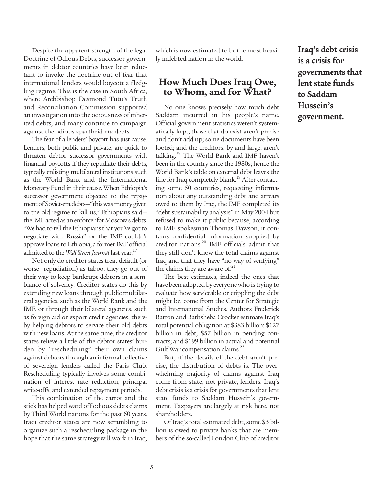Despite the apparent strength of the legal Doctrine of Odious Debts, successor governments in debtor countries have been reluctant to invoke the doctrine out of fear that international lenders would boycott a fledgling regime. This is the case in South Africa, where Archbishop Desmond Tutu's Truth and Reconciliation Commission supported an investigation into the odiousness of inherited debts, and many continue to campaign against the odious apartheid-era debts.

The fear of a lenders' boycott has just cause. Lenders, both public and private, are quick to threaten debtor successor governments with financial boycotts if they repudiate their debts, typically enlisting multilateral institutions such as the World Bank and the International Monetary Fund in their cause. When Ethiopia's successor government objected to the repayment of Soviet-era debts—"this was money given to the old regime to kill us," Ethiopians said the IMF acted as an enforcer for Moscow's debts. "We had to tell the Ethiopians that you've got to negotiate with Russia" or the IMF couldn't approve loans to Ethiopia, a former IMF official admitted to the *Wall Street Journal* last year.<sup>17</sup>

Not only do creditor states treat default (or worse—repudiation) as taboo, they go out of their way to keep bankrupt debtors in a semblance of solvency. Creditor states do this by extending new loans through public multilateral agencies, such as the World Bank and the IMF, or through their bilateral agencies, such as foreign aid or export credit agencies, thereby helping debtors to service their old debts with new loans. At the same time, the creditor states relieve a little of the debtor states' burden by "rescheduling" their own claims against debtors through an informal collective of sovereign lenders called the Paris Club. Rescheduling typically involves some combination of interest rate reduction, principal write-offs, and extended repayment periods.

This combination of the carrot and the stick has helped ward off odious debts claims by Third World nations for the past 60 years. Iraqi creditor states are now scrambling to organize such a rescheduling package in the hope that the same strategy will work in Iraq, which is now estimated to be the most heavily indebted nation in the world.

### **How Much Does Iraq Owe, to Whom, and for What?**

No one knows precisely how much debt Saddam incurred in his people's name. Official government statistics weren't systematically kept; those that do exist aren't precise and don't add up; some documents have been looted; and the creditors, by and large, aren't talking.18 The World Bank and IMF haven't been in the country since the 1980s; hence the World Bank's table on external debt leaves the line for Iraq completely blank.<sup>19</sup> After contacting some 50 countries, requesting information about any outstanding debt and arrears owed to them by Iraq, the IMF completed its "debt sustainability analysis" in May 2004 but refused to make it public because, according to IMF spokesman Thomas Dawson, it contains confidential information supplied by creditor nations.<sup>20</sup> IMF officials admit that they still don't know the total claims against Iraq and that they have "no way of verifying" the claims they are aware of. $21$ 

The best estimates, indeed the ones that have been adopted by everyone who is trying to evaluate how serviceable or crippling the debt might be, come from the Center for Strategic and International Studies. Authors Frederick Barton and Bathsheba Crocker estimate Iraq's total potential obligation at \$383 billion: \$127 billion in debt; \$57 billion in pending contracts; and \$199 billion in actual and potential Gulf War compensation claims.<sup>22</sup>

But, if the details of the debt aren't precise, the distribution of debts is. The overwhelming majority of claims against Iraq come from state, not private, lenders. Iraq's debt crisis is a crisis for governments that lent state funds to Saddam Hussein's government. Taxpayers are largely at risk here, not shareholders.

Of Iraq's total estimated debt, some \$3 billion is owed to private banks that are members of the so-called London Club of creditor **Iraq's debt crisis is a crisis for governments that lent state funds to Saddam Hussein's government.**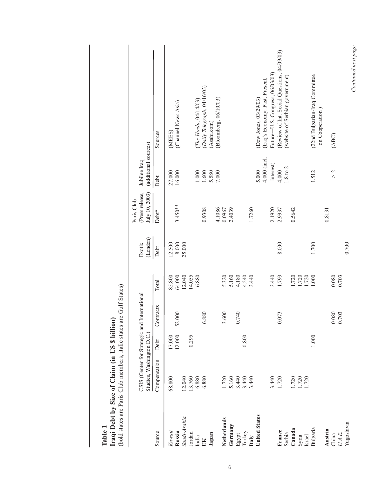| (bold states are Paris Club members, italic states are Gulf States)<br>Iraqi Debt by Size of Claim (in US \$ billion)<br>Table 1 |                                                                           |                  |                                    |                         |                               |                                                 |                                      |                                                                                |
|----------------------------------------------------------------------------------------------------------------------------------|---------------------------------------------------------------------------|------------------|------------------------------------|-------------------------|-------------------------------|-------------------------------------------------|--------------------------------------|--------------------------------------------------------------------------------|
|                                                                                                                                  | CSIS (Center for Strategic and International<br>Studies, Washington D.C.) |                  |                                    |                         | $(\mathrm{London})$<br>Exotix | (Press release,<br>July 10, 2003)<br>Paris Club | (additional sources)<br>Jubilee Iraq |                                                                                |
| Source                                                                                                                           | Compensation                                                              | Debt             | Contracts                          | Total                   | Debt                          | Debt*                                           | Debt                                 | Sources                                                                        |
| Kuwait                                                                                                                           | 68.800                                                                    |                  |                                    | 85.800                  | 12.500                        |                                                 | 27.000                               | (MEES)                                                                         |
| Russia                                                                                                                           |                                                                           | 17.000<br>12.000 | .000<br>52                         | 64.000                  | 8.000                         | $3.450**$                                       | 16.000                               | (Channel News Asia)                                                            |
| Saudi-Arabia                                                                                                                     | 12.040                                                                    |                  |                                    | 12.040                  | 25.000                        |                                                 |                                      |                                                                                |
| Jordan<br>India                                                                                                                  | 13.760                                                                    | 0.295            |                                    | 14.055<br>6.880         |                               |                                                 | 1.000                                | (The Hindu, 04/14/03)                                                          |
| ŬК                                                                                                                               | 6.880<br>6.880                                                            |                  | .880<br>७                          |                         |                               | 0.9308                                          | $1.600\,$                            | (Daily Telegraph, 04/16/03)                                                    |
| Japan                                                                                                                            |                                                                           |                  |                                    |                         |                               |                                                 | 5.580                                | (Asahi.com)                                                                    |
|                                                                                                                                  |                                                                           |                  |                                    |                         |                               | 4.1086                                          | 7.000                                | (Bloomberg, 06/10/03)                                                          |
| Netherlands                                                                                                                      | 1.720                                                                     |                  | .600<br>$\mathfrak{c}$             |                         |                               | 0.0967                                          |                                      |                                                                                |
| Germany                                                                                                                          |                                                                           |                  |                                    | 5.320<br>5.160          |                               | 2.4039                                          |                                      |                                                                                |
| Egypt                                                                                                                            | 5.160<br>3.440                                                            |                  | 740<br>○                           | 4.180                   |                               |                                                 |                                      |                                                                                |
| Turkey                                                                                                                           |                                                                           | 0.800            |                                    | 4.240                   |                               |                                                 |                                      |                                                                                |
| Italy                                                                                                                            | 3.440                                                                     |                  |                                    | 3.440                   |                               | 1.7260                                          |                                      |                                                                                |
| <b>United States</b>                                                                                                             |                                                                           |                  |                                    |                         |                               |                                                 | 5.000                                | (Dow Jones, 03/29/03)                                                          |
|                                                                                                                                  |                                                                           |                  |                                    |                         |                               |                                                 | 4.000 (incl.                         | (Iraq's Economy: Past, Present,                                                |
|                                                                                                                                  |                                                                           |                  |                                    | 3.440                   |                               | 2.1920                                          | interest)                            | Future-U.S. Congress, 06/03/03)                                                |
| France<br>Serbia                                                                                                                 | 3.440<br>1.720                                                            |                  | .073<br>0                          | 1.793                   | 8.000                         | 2.9937                                          | $1.8$ to $2$<br>4.000                | (Review of Int. Social Questions, 04/09/03)<br>(website of Serbian government) |
| Canada                                                                                                                           |                                                                           |                  |                                    | 1.720                   |                               | 0.5642                                          |                                      |                                                                                |
| Syria                                                                                                                            | 1.720<br>1.720<br>1.720                                                   |                  |                                    |                         |                               |                                                 |                                      |                                                                                |
| Israel                                                                                                                           |                                                                           |                  |                                    | 1.720<br>1.720<br>1.000 |                               |                                                 |                                      |                                                                                |
| Bulgaria                                                                                                                         |                                                                           | 1.000            |                                    |                         | 1.700                         |                                                 | 1.512                                | (22nd Bulgarian-Iraq Committee<br>on Cooperation                               |
| Austria                                                                                                                          |                                                                           |                  |                                    |                         |                               | 0.8131                                          |                                      |                                                                                |
| $U.A.E.$<br>China                                                                                                                |                                                                           |                  | .080<br>.703<br>$\circ$<br>$\circ$ | 0.080<br>0.703          |                               |                                                 | $\geq$                               | (ABC)                                                                          |
| Yugoslavia                                                                                                                       |                                                                           |                  |                                    |                         | 0.700                         |                                                 |                                      |                                                                                |
|                                                                                                                                  |                                                                           |                  |                                    |                         |                               |                                                 |                                      | Continued next page                                                            |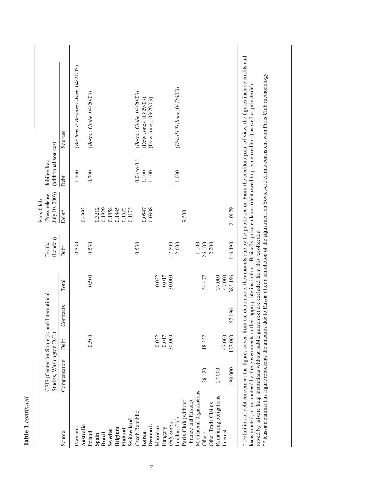| ֧ׅׅׅ֧֚֚֚֚֚֚֚֚֚֚֚֚֚֚֚֚֚֚֚֚֚֚֚֚֚֚֓֓֕֡֡֓֡֡֡֡֡֓֞֡֡֡֡֓ |
|---------------------------------------------------|
| ۴                                                 |
|                                                   |
| г                                                 |

|                            |                                              |                 |           |         |          | Paris Club       |                      |                                                                                                                                                                                                                                |  |
|----------------------------|----------------------------------------------|-----------------|-----------|---------|----------|------------------|----------------------|--------------------------------------------------------------------------------------------------------------------------------------------------------------------------------------------------------------------------------|--|
|                            | CSIS (Center for Strategic and International |                 |           |         | Exotix   | (Press release,  | Jubilee Iraq         |                                                                                                                                                                                                                                |  |
|                            | Studies, Washington D.C.)                    |                 |           |         | (London) | July 10, 2003)   | (additional sources) |                                                                                                                                                                                                                                |  |
| Source                     | Compensation                                 | Debt            | Contracts | Total   | Debt     | Debt*            | Debt                 | Sources                                                                                                                                                                                                                        |  |
| Romania                    |                                              |                 |           |         | 0.530    |                  | 1.700                | (Bucharest Business Week, 04/21/03)                                                                                                                                                                                            |  |
| Australia                  |                                              |                 |           |         |          | 0.4993           |                      |                                                                                                                                                                                                                                |  |
| Poland                     |                                              | 0.500           |           | 0.500   | 0.530    |                  | 0.700                | (Boston Globe, 04/20/03)                                                                                                                                                                                                       |  |
| Spain                      |                                              |                 |           |         |          | 0.3212           |                      |                                                                                                                                                                                                                                |  |
| <b>Brazil</b>              |                                              |                 |           |         |          | 0.1929           |                      |                                                                                                                                                                                                                                |  |
| Sweden                     |                                              |                 |           |         |          | 0.1858           |                      |                                                                                                                                                                                                                                |  |
| Belgium                    |                                              |                 |           |         |          | 0.1845<br>0.1522 |                      |                                                                                                                                                                                                                                |  |
| Finland                    |                                              |                 |           |         |          |                  |                      |                                                                                                                                                                                                                                |  |
| Switzerland                |                                              |                 |           |         |          | 0.1175           |                      |                                                                                                                                                                                                                                |  |
| Czech Republic             |                                              |                 |           |         | 0.530    |                  | $0.06$ to $0.1\,$    | (Boston Globe, 04/20/03)                                                                                                                                                                                                       |  |
| Korea                      |                                              |                 |           |         |          | 0.0547           | $\frac{1100}{1100}$  | (Dow Jones, 03/29/03)                                                                                                                                                                                                          |  |
| Denmark                    |                                              |                 |           |         |          | 0.0308           |                      | (Dow Jones, 03/29/03)                                                                                                                                                                                                          |  |
| Morocco                    |                                              | 0.032           |           | 0.032   |          |                  |                      |                                                                                                                                                                                                                                |  |
| Hungary                    |                                              | 0.017<br>30.000 |           | 0.017   |          |                  |                      |                                                                                                                                                                                                                                |  |
| Gulf States                |                                              |                 |           | 30.000  | 17.500   |                  |                      |                                                                                                                                                                                                                                |  |
| London Club                |                                              |                 |           |         | 2.600    |                  | 11.000               | (Herald Tribune, 04/26/03)                                                                                                                                                                                                     |  |
| Paris Club (without        |                                              |                 |           |         |          | 9.500            |                      |                                                                                                                                                                                                                                |  |
| France and Russia)         |                                              |                 |           |         |          |                  |                      |                                                                                                                                                                                                                                |  |
| Multilateral Organizations |                                              |                 |           |         | 1.100    |                  |                      |                                                                                                                                                                                                                                |  |
| Others                     | 36.120                                       | 18.357          |           | 54.477  | 26.100   |                  |                      |                                                                                                                                                                                                                                |  |
| Other Trade Claims         |                                              |                 |           |         | 2.200    |                  |                      |                                                                                                                                                                                                                                |  |
| Remaining obligations      | 27.000                                       |                 |           | 27.000  |          |                  |                      |                                                                                                                                                                                                                                |  |
| Interest                   |                                              | 47.000          |           | 47.000  |          |                  |                      |                                                                                                                                                                                                                                |  |
|                            | 199.000                                      | 127.000         | 57.196    | 383.196 | 116.490  | 21.0179          |                      |                                                                                                                                                                                                                                |  |
|                            |                                              |                 |           |         |          |                  |                      | the proper of the figure from the second the second the second second that is a contracted the contracted of the second that the second that the figure of the second that the second that the second that the second that the |  |

\* Definition of debt concerned: the figures cover, from the debtor side, the amounts due by the public sector. From the creditors point of view, the figures include credits and<br>loans granted, or guaranteed by, the governme \* Definition of debt concerned: the figures cover, from the debtor side, the amounts due by the public sector. From the creditors point of view, the figures include credits and loans granted, or guaranteed by, the governments or their appropriate institutions. Basically, private claims (debt owed to private creditors) as well as private debt (owed by private Iraqi institutions without public guarantee) are excluded from this recollection.

\*\* Russian claims: this figure represents the amounts due to Russia after a simulation of the adjustment on Soviet-era claims consistent with Paris Club methodology.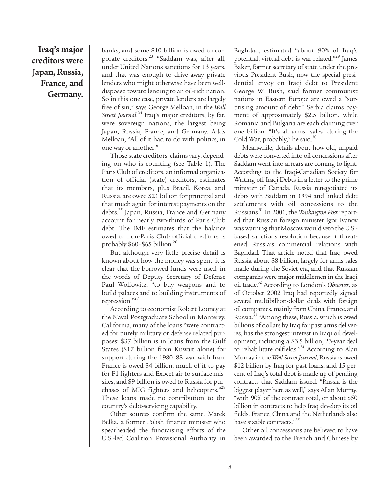# **Iraq's major creditors were Japan, Russia, France, and Germany.**

banks, and some \$10 billion is owed to corporate creditors.<sup>23</sup> "Saddam was, after all, under United Nations sanctions for 13 years, and that was enough to drive away private lenders who might otherwise have been welldisposed toward lending to an oil-rich nation. So in this one case, private lenders are largely free of sin," says George Melloan, in the *Wall Street Journal*. <sup>24</sup> Iraq's major creditors, by far, were sovereign nations, the largest being Japan, Russia, France, and Germany. Adds Melloan, "All of it had to do with politics, in one way or another."

Those state creditors' claims vary, depending on who is counting (see Table 1). The Paris Club of creditors, an informal organization of official (state) creditors, estimates that its members, plus Brazil, Korea, and Russia, are owed \$21 billion for principal and that much again for interest payments on the debts.25 Japan, Russia, France and Germany account for nearly two-thirds of Paris Club debt. The IMF estimates that the balance owed to non-Paris Club official creditors is probably  $$60-$65 billion.<sup>26</sup>$ 

But although very little precise detail is known about how the money was spent, it is clear that the borrowed funds were used, in the words of Deputy Secretary of Defense Paul Wolfowitz, "to buy weapons and to build palaces and to building instruments of repression."27

According to economist Robert Looney at the Naval Postgraduate School in Monterey, California, many of the loans "were contracted for purely military or defense related purposes: \$37 billion is in loans from the Gulf States (\$17 billion from Kuwait alone) for support during the 1980–88 war with Iran. France is owed \$4 billion, much of it to pay for F1 fighters and Exocet air-to-surface missiles, and \$9 billion is owed to Russia for purchases of MIG fighters and helicopters."<sup>28</sup> These loans made no contribution to the country's debt-servicing capability.

Other sources confirm the same. Marek Belka, a former Polish finance minister who spearheaded the fundraising efforts of the U.S.-led Coalition Provisional Authority in

Baghdad, estimated "about 90% of Iraq's potential, virtual debt is war-related."29 James Baker, former secretary of state under the previous President Bush, now the special presidential envoy on Iraqi debt to President George W. Bush, said former communist nations in Eastern Europe are owed a "surprising amount of debt." Serbia claims payment of approximately \$2.5 billion, while Romania and Bulgaria are each claiming over one billion. "It's all arms [sales] during the Cold War, probably," he said.<sup>30</sup>

Meanwhile, details about how old, unpaid debts were converted into oil concessions after Saddam went into arrears are coming to light. According to the Iraqi-Canadian Society for Writing-off Iraqi Debts in a letter to the prime minister of Canada, Russia renegotiated its debts with Saddam in 1994 and linked debt settlements with oil concessions to the Russians.31 In 2001, the *Washington Post* reported that Russian foreign minister Igor Ivanov was warning that Moscow would veto the U.S. based sanctions resolution because it threatened Russia's commercial relations with Baghdad. That article noted that Iraq owed Russia about \$8 billion, largely for arms sales made during the Soviet era, and that Russian companies were major middlemen in the Iraqi oil trade.32 According to London's *Observer*, as of October 2002 Iraq had reportedly signed several multibillion-dollar deals with foreign oil companies, mainly from China, France, and Russia.<sup>33</sup> "Among these, Russia, which is owed billions of dollars by Iraq for past arms deliveries, has the strongest interest in Iraqi oil development, including a \$3.5 billion, 23-year deal to rehabilitate oilfields."<sup>34</sup> According to Alan Murray in the *Wall Street Journal*, Russia is owed \$12 billion by Iraq for past loans, and 15 percent of Iraq's total debt is made up of pending contracts that Saddam issued. "Russia is the biggest player here as well," says Allan Murray, "with 90% of the contract total, or about \$50 billion in contracts to help Iraq develop its oil fields. France, China and the Netherlands also have sizable contracts."<sup>35</sup>

Other oil concessions are believed to have been awarded to the French and Chinese by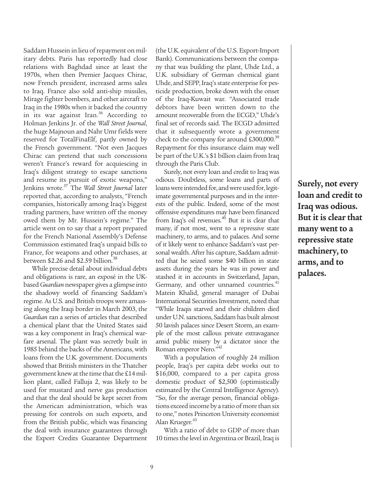Saddam Hussein in lieu of repayment on military debts. Paris has reportedly had close relations with Baghdad since at least the 1970s, when then Premier Jacques Chirac, now French president, increased arms sales to Iraq. France also sold anti-ship missiles, Mirage fighter bombers, and other aircraft to Iraq in the 1980s when it backed the country in its war against Iran. $36$  According to Holman Jenkins Jr. of the *Wall Street Journal*, the huge Majnoun and Nahr Umr fields were reserved for TotalFinaElf, partly owned by the French government. "Not even Jacques Chirac can pretend that such concessions weren't France's reward for acquiescing in Iraq's diligent strategy to escape sanctions and resume its pursuit of exotic weapons," Jenkins wrote.37 The *Wall Street Journal* later reported that, according to analysts, "French companies, historically among Iraq's biggest trading partners, have written off the money owed them by Mr. Hussein's regime." The article went on to say that a report prepared for the French National Assembly's Defense Commission estimated Iraq's unpaid bills to France, for weapons and other purchases, at between \$2.26 and \$2.59 billion.<sup>38</sup>

While precise detail about individual debts and obligations is rare, an exposé in the UKbased *Guardian* newspaper gives a glimpse into the shadowy world of financing Saddam's regime. As U.S. and British troops were amassing along the Iraqi border in March 2003, the *Guardian* ran a series of articles that described a chemical plant that the United States said was a key component in Iraq's chemical warfare arsenal. The plant was secretly built in 1985 behind the backs of the Americans, with loans from the U.K. government. Documents showed that British ministers in the Thatcher government knew at the time that the £14 million plant, called Falluja 2, was likely to be used for mustard and nerve gas production and that the deal should be kept secret from the American administration, which was pressing for controls on such exports, and from the British public, which was financing the deal with insurance guarantees through the Export Credits Guarantee Department

(the U.K. equivalent of the U.S. Export-Import Bank). Communications between the company that was building the plant, Uhde Ltd., a U.K. subsidiary of German chemical giant Uhde, and SEPP, Iraq's state enterprise for pesticide production, broke down with the onset of the Iraq-Kuwait war. "Associated trade debtors have been written down to the amount recoverable from the ECGD," Uhde's final set of records said. The ECGD admitted that it subsequently wrote a government check to the company for around  $£300,000.<sup>39</sup>$ Repayment for this insurance claim may well be part of the U.K.'s \$1 billion claim from Iraq through the Paris Club.

Surely, not every loan and credit to Iraq was odious. Doubtless, some loans and parts of loans were intended for, and were used for, legitimate governmental purposes and in the interests of the public. Indeed, some of the most offensive expenditures may have been financed from Iraq's oil revenues.<sup>40</sup> But it is clear that many, if not most, went to a repressive state machinery, to arms, and to palaces. And some of it likely went to enhance Saddam's vast personal wealth. After his capture, Saddam admitted that he seized some \$40 billion in state assets during the years he was in power and stashed it in accounts in Switzerland, Japan, Germany, and other unnamed countries.<sup>41</sup> Matein Khalid, general manager of Dubai International Securities Investment, noted that "While Iraqis starved and their children died under U.N. sanctions, Saddam has built almost 50 lavish palaces since Desert Storm, an example of the most callous private extravagance amid public misery by a dictator since the Roman emperor Nero."42

With a population of roughly 24 million people, Iraq's per capita debt works out to \$16,000, compared to a per capita gross domestic product of \$2,500 (optimistically estimated by the Central Intelligence Agency). "So, for the average person, financial obligations exceed income by a ratio of more than six to one," notes Princeton University economist Alan Krueger.<sup>43</sup>

With a ratio of debt to GDP of more than 10 times the level in Argentina or Brazil, Iraq is **Surely, not every loan and credit to Iraq was odious. But it is clear that many went to a repressive state machinery, to arms, and to palaces.**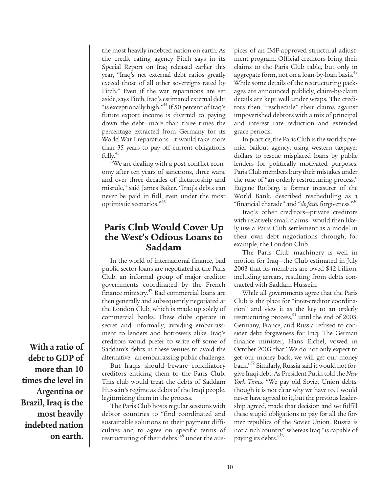the most heavily indebted nation on earth. As the credit rating agency Fitch says in its Special Report on Iraq released earlier this year, "Iraq's net external debt ratios greatly exceed those of all other sovereigns rated by Fitch." Even if the war reparations are set aside, says Fitch, Iraq's estimated external debt "is exceptionally high."<sup>44</sup> If 50 percent of Iraq's future export income is diverted to paying down the debt—more than three times the percentage extracted from Germany for its World War I reparations—it would take more than 35 years to pay off current obligations fully.<sup>45</sup>

"We are dealing with a post-conflict economy after ten years of sanctions, three wars, and over three decades of dictatorship and misrule," said James Baker. "Iraq's debts can never be paid in full, even under the most optimistic scenarios."46

### **Paris Club Would Cover Up the West's Odious Loans to Saddam**

In the world of international finance, bad public-sector loans are negotiated at the Paris Club, an informal group of major creditor governments coordinated by the French finance ministry.47 Bad commercial loans are then generally and subsequently negotiated at the London Club, which is made up solely of commercial banks. These clubs operate in secret and informally, avoiding embarrassment to lenders and borrowers alike. Iraq's creditors would prefer to write off some of Saddam's debts in these venues to avoid the alternative—an embarrassing public challenge.

But Iraqis should beware conciliatory creditors enticing them to the Paris Club. This club would treat the debts of Saddam Hussein's regime as debts of the Iraqi people, legitimizing them in the process.

The Paris Club hosts regular sessions with debtor countries to "find coordinated and sustainable solutions to their payment difficulties and to agree on specific terms of restructuring of their debts<sup>"48</sup> under the auspices of an IMF-approved structural adjustment program. Official creditors bring their claims to the Paris Club table, but only in aggregate form, not on a loan-by-loan basis.<sup>49</sup> While some details of the restructuring packages are announced publicly, claim-by-claim details are kept well under wraps. The creditors then "reschedule" their claims against impoverished debtors with a mix of principal and interest rate reduction and extended grace periods.

In practice, the Paris Club is the world's premier bailout agency, using western taxpayer dollars to rescue misplaced loans by public lenders for politically motivated purposes. Paris Club members bury their mistakes under the ruse of "an orderly restructuring process." Eugene Rotberg, a former treasurer of the World Bank, described rescheduling as a "financial charade" and "*de facto* forgiveness."50

Iraq's other creditors—private creditors with relatively small claims—would then likely use a Paris Club settlement as a model in their own debt negotiations through, for example, the London Club.

The Paris Club machinery is well in motion for Iraq—the Club estimated in July 2003 that its members are owed \$42 billion, including arrears, resulting from debts contracted with Saddam Hussein.

While all governments agree that the Paris Club is the place for "inter-creditor coordination" and view it as the key to an orderly restructuring process, $^{51}$  until the end of 2003, Germany, France, and Russia refused to consider debt forgiveness for Iraq. The German finance minister, Hans Eichel, vowed in October 2003 that "We do not only expect to get our money back, we will get our money back."<sup>52</sup> Similarly, Russia said it would not forgive Iraqi debt. As President Putin told the *New York Times*, "We pay old Soviet Union debts, though it is not clear why we have to. I would never have agreed to it, but the previous leadership agreed, made that decision and we fulfill these stupid obligations to pay for all the former republics of the Soviet Union. Russia is not a rich country" whereas Iraq "is capable of paying its debts."<sup>53</sup>

**With a ratio of debt to GDP of more than 10 times the level in Argentina or Brazil, Iraq is the most heavily indebted nation on earth.**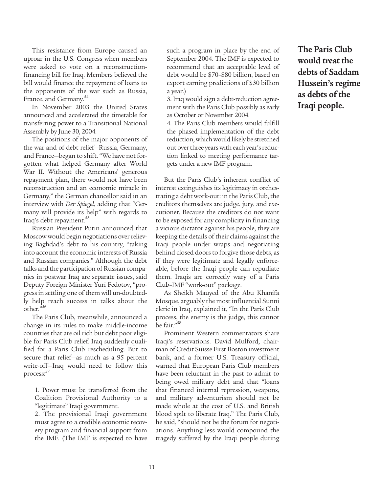This resistance from Europe caused an uproar in the U.S. Congress when members were asked to vote on a reconstructionfinancing bill for Iraq. Members believed the bill would finance the repayment of loans to the opponents of the war such as Russia, France, and Germany.<sup>54</sup>

In November 2003 the United States announced and accelerated the timetable for transferring power to a Transitional National Assembly by June 30, 2004.

The positions of the major opponents of the war and of debt relief—Russia, Germany, and France—began to shift. "We have not forgotten what helped Germany after World War II. Without the Americans' generous repayment plan, there would not have been reconstruction and an economic miracle in Germany," the German chancellor said in an interview with *Der Spiegel*, adding that "Germany will provide its help" with regards to Iraq's debt repayment.<sup>55</sup>

Russian President Putin announced that Moscow would begin negotiations over relieving Baghdad's debt to his country, "taking into account the economic interests of Russia and Russian companies." Although the debt talks and the participation of Russian companies in postwar Iraq are separate issues, said Deputy Foreign Minister Yuri Fedotov, "progress in settling one of them will un-doubtedly help reach success in talks about the other."56

The Paris Club, meanwhile, announced a change in its rules to make middle-income countries that are oil rich but debt poor eligible for Paris Club relief. Iraq suddenly qualified for a Paris Club rescheduling. But to secure that relief—as much as a 95 percent write-off—Iraq would need to follow this process:<sup>57</sup>

1. Power must be transferred from the Coalition Provisional Authority to a "legitimate" Iraqi government.

2. The provisional Iraqi government must agree to a credible economic recovery program and financial support from the IMF. (The IMF is expected to have such a program in place by the end of September 2004. The IMF is expected to recommend that an acceptable level of debt would be \$70–\$80 billion, based on export earning predictions of \$30 billion a year.)

3. Iraq would sign a debt-reduction agreement with the Paris Club possibly as early as October or November 2004.

4. The Paris Club members would fulfill the phased implementation of the debt reduction, which would likely be stretched out over three years with each year's reduction linked to meeting performance targets under a new IMF program.

But the Paris Club's inherent conflict of interest extinguishes its legitimacy in orchestrating a debt work-out: in the Paris Club, the creditors themselves are judge, jury, and executioner. Because the creditors do not want to be exposed for any complicity in financing a vicious dictator against his people, they are keeping the details of their claims against the Iraqi people under wraps and negotiating behind closed doors to forgive those debts, as if they were legitimate and legally enforceable, before the Iraqi people can repudiate them. Iraqis are correctly wary of a Paris Club–IMF "work-out" package.

As Sheikh Mauyed of the Abu Khanifa Mosque, arguably the most influential Sunni cleric in Iraq, explained it, "In the Paris Club process, the enemy is the judge, this cannot be fair."58

Prominent Western commentators share Iraqi's reservations. David Mulford, chairman of Credit Suisse First Boston investment bank, and a former U.S. Treasury official, warned that European Paris Club members have been reluctant in the past to admit to being owed military debt and that "loans that financed internal repression, weapons, and military adventurism should not be made whole at the cost of U.S. and British blood spilt to liberate Iraq." The Paris Club, he said, "should not be the forum for negotiations. Anything less would compound the tragedy suffered by the Iraqi people during

**The Paris Club would treat the debts of Saddam Hussein's regime as debts of the Iraqi people.**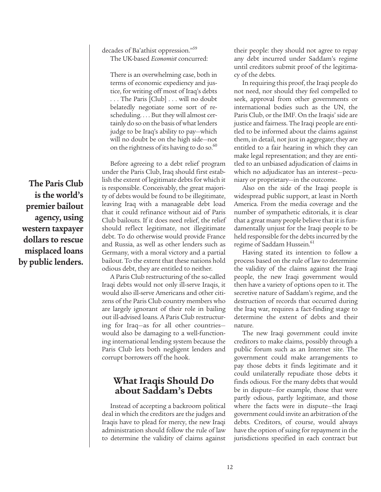**The Paris Club is the world's premier bailout agency, using western taxpayer dollars to rescue misplaced loans by public lenders.**

#### decades of Ba'athist oppression."<sup>59</sup> The UK-based *Economist* concurred:

There is an overwhelming case, both in terms of economic expediency and justice, for writing off most of Iraq's debts . . . The Paris [Club] . . . will no doubt belatedly negotiate some sort of rescheduling. . . . But they will almost certainly do so on the basis of what lenders judge to be Iraq's ability to pay—which will no doubt be on the high side—not on the rightness of its having to do so. $\degree$ 

Before agreeing to a debt relief program under the Paris Club, Iraq should first establish the extent of legitimate debts for which it is responsible. Conceivably, the great majority of debts would be found to be illegitimate, leaving Iraq with a manageable debt load that it could refinance without aid of Paris Club bailouts. If it does need relief, the relief should reflect legitimate, not illegitimate debt. To do otherwise would provide France and Russia, as well as other lenders such as Germany, with a moral victory and a partial bailout. To the extent that these nations hold odious debt, they are entitled to neither.

A Paris Club restructuring of the so-called Iraqi debts would not only ill-serve Iraqis, it would also ill-serve Americans and other citizens of the Paris Club country members who are largely ignorant of their role in bailing out ill-advised loans. A Paris Club restructuring for Iraq—as for all other countries would also be damaging to a well-functioning international lending system because the Paris Club lets both negligent lenders and corrupt borrowers off the hook.

# **What Iraqis Should Do about Saddam's Debts**

Instead of accepting a backroom political deal in which the creditors are the judges and Iraqis have to plead for mercy, the new Iraqi administration should follow the rule of law to determine the validity of claims against their people: they should not agree to repay any debt incurred under Saddam's regime until creditors submit proof of the legitimacy of the debts.

In requiring this proof, the Iraqi people do not need, nor should they feel compelled to seek, approval from other governments or international bodies such as the UN, the Paris Club, or the IMF. On the Iraqis' side are justice and fairness. The Iraqi people are entitled to be informed about the claims against them, in detail, not just in aggregate; they are entitled to a fair hearing in which they can make legal representation; and they are entitled to an unbiased adjudication of claims in which no adjudicator has an interest—pecuniary or proprietary—in the outcome.

Also on the side of the Iraqi people is widespread public support, at least in North America. From the media coverage and the number of sympathetic editorials, it is clear that a great many people believe that it is fundamentally unjust for the Iraqi people to be held responsible for the debts incurred by the regime of Saddam Hussein.<sup>61</sup>

Having stated its intention to follow a process based on the rule of law to determine the validity of the claims against the Iraqi people, the new Iraqi government would then have a variety of options open to it. The secretive nature of Saddam's regime, and the destruction of records that occurred during the Iraq war, requires a fact-finding stage to determine the extent of debts and their nature.

The new Iraqi government could invite creditors to make claims, possibly through a public forum such as an Internet site. The government could make arrangements to pay those debts it finds legitimate and it could unilaterally repudiate those debts it finds odious. For the many debts that would be in dispute—for example, those that were partly odious, partly legitimate, and those where the facts were in dispute—the Iraqi government could invite an arbitration of the debts. Creditors, of course, would always have the option of suing for repayment in the jurisdictions specified in each contract but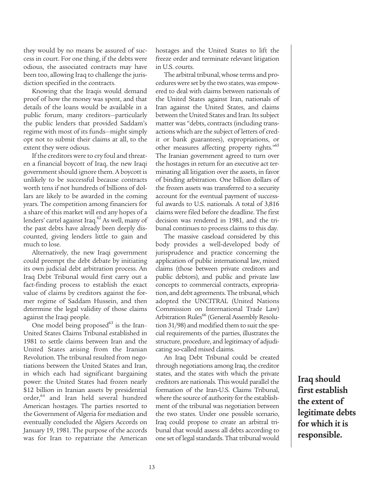they would by no means be assured of success in court. For one thing, if the debts were odious, the associated contracts may have been too, allowing Iraq to challenge the jurisdiction specified in the contracts.

Knowing that the Iraqis would demand proof of how the money was spent, and that details of the loans would be available in a public forum, many creditors—particularly the public lenders that provided Saddam's regime with most of its funds—might simply opt not to submit their claims at all, to the extent they were odious.

If the creditors were to cry foul and threaten a financial boycott of Iraq, the new Iraqi government should ignore them. A boycott is unlikely to be successful because contracts worth tens if not hundreds of billions of dollars are likely to be awarded in the coming years. The competition among financiers for a share of this market will end any hopes of a lenders' cartel against Iraq.<sup>62</sup> As well, many of the past debts have already been deeply discounted, giving lenders little to gain and much to lose.

Alternatively, the new Iraqi government could preempt the debt debate by initiating its own judicial debt arbitration process. An Iraq Debt Tribunal would first carry out a fact-finding process to establish the exact value of claims by creditors against the former regime of Saddam Hussein, and then determine the legal validity of those claims against the Iraqi people.

One model being proposed<sup>63</sup> is the Iran-United States Claims Tribunal established in 1981 to settle claims between Iran and the United States arising from the Iranian Revolution. The tribunal resulted from negotiations between the United States and Iran, in which each had significant bargaining power: the United States had frozen nearly \$12 billion in Iranian assets by presidential order,64 and Iran held several hundred American hostages. The parties resorted to the Government of Algeria for mediation and eventually concluded the Algiers Accords on January 19, 1981. The purpose of the accords was for Iran to repatriate the American hostages and the United States to lift the freeze order and terminate relevant litigation in U.S. courts.

The arbitral tribunal, whose terms and procedures were set by the two states, was empowered to deal with claims between nationals of the United States against Iran, nationals of Iran against the United States, and claims between the United States and Iran. Its subject matter was "debts, contracts (including transactions which are the subject of letters of credit or bank guarantees), expropriations, or other measures affecting property rights."<sup>65</sup> The Iranian government agreed to turn over the hostages in return for an executive act terminating all litigation over the assets, in favor of binding arbitration. One billion dollars of the frozen assets was transferred to a security account for the eventual payment of successful awards to U.S. nationals. A total of 3,816 claims were filed before the deadline. The first decision was rendered in 1981, and the tribunal continues to process claims to this day.

The massive caseload considered by this body provides a well-developed body of jurisprudence and practice concerning the application of public international law, mixed claims (those between private creditors and public debtors), and public and private law concepts to commercial contracts, expropriation, and debt agreements. The tribunal, which adopted the UNCITRAL (United Nations Commission on International Trade Law) Arbitration Rules<sup>66</sup> (General Assembly Resolution 31/98) and modified them to suit the special requirements of the parties, illustrates the structure, procedure, and legitimacy of adjudicating so-called mixed claims.

An Iraq Debt Tribunal could be created through negotiations among Iraq, the creditor states, and the states with which the private creditors are nationals. This would parallel the formation of the Iran-U.S. Claims Tribunal, where the source of authority for the establishment of the tribunal was negotiation between the two states. Under one possible scenario, Iraq could propose to create an arbitral tribunal that would assess all debts according to one set of legal standards. That tribunal would

**Iraq should first establish the extent of legitimate debts for which it is responsible.**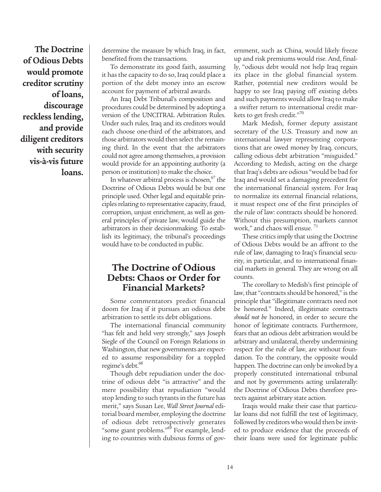**The Doctrine of Odious Debts would promote creditor scrutiny of loans, discourage reckless lending, and provide diligent creditors with security vis-à-vis future loans.**

determine the measure by which Iraq, in fact, benefited from the transactions.

To demonstrate its good faith, assuming it has the capacity to do so, Iraq could place a portion of the debt money into an escrow account for payment of arbitral awards.

An Iraq Debt Tribunal's composition and procedures could be determined by adopting a version of the UNCITRAL Arbitration Rules. Under such rules, Iraq and its creditors would each choose one-third of the arbitrators, and those arbitrators would then select the remaining third. In the event that the arbitrators could not agree among themselves, a provision would provide for an appointing authority (a person or institution) to make the choice.

In whatever arbitral process is chosen, $67$  the Doctrine of Odious Debts would be but one principle used. Other legal and equitable principles relating to representative capacity, fraud, corruption, unjust enrichment, as well as general principles of private law, would guide the arbitrators in their decisionmaking. To establish its legitimacy, the tribunal's proceedings would have to be conducted in public.

# **The Doctrine of Odious Debts: Chaos or Order for Financial Markets?**

Some commentators predict financial doom for Iraq if it pursues an odious debt arbitration to settle its debt obligations.

The international financial community "has felt and held very strongly," says Joseph Siegle of the Council on Foreign Relations in Washington, that new governments are expected to assume responsibility for a toppled regime's debt.<sup>68</sup>

Though debt repudiation under the doctrine of odious debt "is attractive" and the mere possibility that repudiation "would stop lending to such tyrants in the future has merit," says Susan Lee, *Wall Street Journal* editorial board member, employing the doctrine of odious debt retrospectively generates "some giant problems."<sup>69</sup> For example, lending to countries with dubious forms of government, such as China, would likely freeze up and risk premiums would rise. And, finally, "odious debt would not help Iraq regain its place in the global financial system. Rather, potential new creditors would be happy to see Iraq paying off existing debts and such payments would allow Iraq to make a swifter return to international credit markets to get fresh credit."70

Mark Medish, former deputy assistant secretary of the U.S. Treasury and now an international lawyer representing corporations that are owed money by Iraq, concurs, calling odious debt arbitration "misguided." According to Medish, acting on the charge that Iraq's debts are odious "would be bad for Iraq and would set a damaging precedent for the international financial system. For Iraq to normalize its external financial relations, it must respect one of the first principles of the rule of law: contracts should be honored. Without this presumption, markets cannot work," and chaos will ensue.<sup>71</sup>

These critics imply that using the Doctrine of Odious Debts would be an affront to the rule of law, damaging to Iraq's financial security, in particular, and to international financial markets in general. They are wrong on all counts.

The corollary to Medish's first principle of law, that "contracts should be honored," is the principle that "illegitimate contracts need not be honored." Indeed, illegitimate contracts *should not be* honored, in order to secure the honor of legitimate contracts. Furthermore, fears that an odious debt arbitration would be arbitrary and unilateral, thereby undermining respect for the rule of law, are without foundation. To the contrary, the opposite would happen. The doctrine can only be invoked by a properly constituted international tribunal and not by governments acting unilaterally: the Doctrine of Odious Debts therefore protects against arbitrary state action.

Iraqis would make their case that particular loans did not fulfill the test of legitimacy, followed by creditors who would then be invited to produce evidence that the proceeds of their loans were used for legitimate public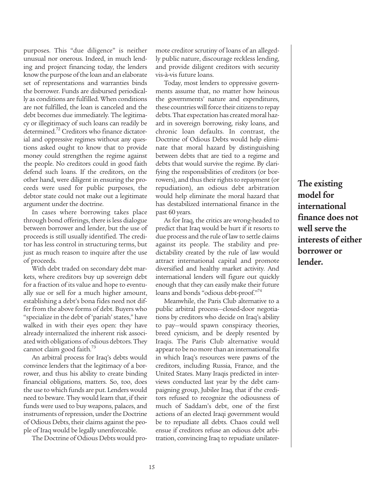purposes. This "due diligence" is neither unusual nor onerous. Indeed, in much lending and project financing today, the lenders know the purpose of the loan and an elaborate set of representations and warranties binds the borrower. Funds are disbursed periodically as conditions are fulfilled. When conditions are not fulfilled, the loan is canceled and the debt becomes due immediately. The legitimacy or illegitimacy of such loans can readily be determined.<sup>72</sup> Creditors who finance dictatorial and oppressive regimes without any questions asked ought to know that to provide money could strengthen the regime against the people. No creditors could in good faith defend such loans. If the creditors, on the other hand, were diligent in ensuring the proceeds were used for public purposes, the debtor state could not make out a legitimate argument under the doctrine.

In cases where borrowing takes place through bond offerings, there is less dialogue between borrower and lender, but the use of proceeds is still usually identified. The creditor has less control in structuring terms, but just as much reason to inquire after the use of proceeds.

With debt traded on secondary debt markets, where creditors buy up sovereign debt for a fraction of its value and hope to eventually sue or sell for a much higher amount, establishing a debt's bona fides need not differ from the above forms of debt. Buyers who "specialize in the debt of 'pariah' states," have walked in with their eyes open: they have already internalized the inherent risk associated with obligations of odious debtors. They cannot claim good faith. $3<sup>3</sup>$ 

An arbitral process for Iraq's debts would convince lenders that the legitimacy of a borrower, and thus his ability to create binding financial obligations, matters. So, too, does the use to which funds are put. Lenders would need to beware. They would learn that, if their funds were used to buy weapons, palaces, and instruments of repression, under the Doctrine of Odious Debts, their claims against the people of Iraq would be legally unenforceable.

The Doctrine of Odious Debts would pro-

mote creditor scrutiny of loans of an allegedly public nature, discourage reckless lending, and provide diligent creditors with security vis-à-vis future loans.

Today, most lenders to oppressive governments assume that, no matter how heinous the governments' nature and expenditures, these countries will force their citizens to repay debts. That expectation has created moral hazard in sovereign borrowing, risky loans, and chronic loan defaults. In contrast, the Doctrine of Odious Debts would help eliminate that moral hazard by distinguishing between debts that are tied to a regime and debts that would survive the regime. By clarifying the responsibilities of creditors (or borrowers), and thus their rights to repayment (or repudiation), an odious debt arbitration would help eliminate the moral hazard that has destabilized international finance in the past 60 years.

As for Iraq, the critics are wrong-headed to predict that Iraq would be hurt if it resorts to due process and the rule of law to settle claims against its people. The stability and predictability created by the rule of law would attract international capital and promote diversified and healthy market activity. And international lenders will figure out quickly enough that they can easily make their future loans and bonds "odious debt-proof."<sup>4</sup>

Meanwhile, the Paris Club alternative to a public arbitral process—closed-door negotiations by creditors who decide on Iraq's ability to pay—would spawn conspiracy theories, breed cynicism, and be deeply resented by Iraqis. The Paris Club alternative would appear to be no more than an international fix in which Iraq's resources were pawns of the creditors, including Russia, France, and the United States. Many Iraqis predicted in interviews conducted last year by the debt campaigning group, Jubilee Iraq, that if the creditors refused to recognize the odiousness of much of Saddam's debt, one of the first actions of an elected Iraqi government would be to repudiate all debts. Chaos could well ensue if creditors refuse an odious debt arbitration, convincing Iraq to repudiate unilater-

15

**The existing model for international finance does not well serve the interests of either borrower or lender.**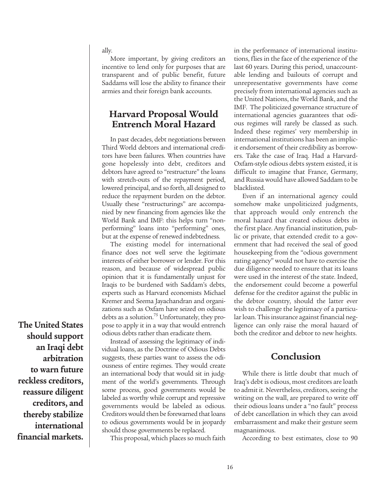ally.

More important, by giving creditors an incentive to lend only for purposes that are transparent and of public benefit, future Saddams will lose the ability to finance their armies and their foreign bank accounts.

# **Harvard Proposal Would Entrench Moral Hazard**

In past decades, debt negotiations between Third World debtors and international creditors have been failures. When countries have gone hopelessly into debt, creditors and debtors have agreed to "restructure" the loans with stretch-outs of the repayment period, lowered principal, and so forth, all designed to reduce the repayment burden on the debtor. Usually these "restructurings" are accompanied by new financing from agencies like the World Bank and IMF: this helps turn "nonperforming" loans into "performing" ones, but at the expense of renewed indebtedness.

The existing model for international finance does not well serve the legitimate interests of either borrower or lender. For this reason, and because of widespread public opinion that it is fundamentally unjust for Iraqis to be burdened with Saddam's debts, experts such as Harvard economists Michael Kremer and Seema Jayachandran and organizations such as Oxfam have seized on odious debts as a solution.<sup>75</sup> Unfortunately, they propose to apply it in a way that would entrench odious debts rather than eradicate them.

Instead of assessing the legitimacy of individual loans, as the Doctrine of Odious Debts suggests, these parties want to assess the odiousness of entire regimes. They would create an international body that would sit in judgment of the world's governments. Through some process, good governments would be labeled as worthy while corrupt and repressive governments would be labeled as odious. Creditors would then be forewarned that loans to odious governments would be in jeopardy should those governments be replaced.

This proposal, which places so much faith

in the performance of international institutions, flies in the face of the experience of the last 60 years. During this period, unaccountable lending and bailouts of corrupt and unrepresentative governments have come precisely from international agencies such as the United Nations, the World Bank, and the IMF. The politicized governance structure of international agencies guarantees that odious regimes will rarely be classed as such. Indeed these regimes' very membership in international institutions has been an implicit endorsement of their credibility as borrowers. Take the case of Iraq. Had a Harvard-Oxfam-style odious debts system existed, it is difficult to imagine that France, Germany, and Russia would have allowed Saddam to be blacklisted.

Even if an international agency could somehow make unpoliticized judgments, that approach would only entrench the moral hazard that created odious debts in the first place. Any financial institution, public or private, that extended credit to a government that had received the seal of good housekeeping from the "odious government rating agency" would not have to exercise the due diligence needed to ensure that its loans were used in the interest of the state. Indeed, the endorsement could become a powerful defense for the creditor against the public in the debtor country, should the latter ever wish to challenge the legitimacy of a particular loan. This insurance against financial negligence can only raise the moral hazard of both the creditor and debtor to new heights.

# **Conclusion**

While there is little doubt that much of Iraq's debt is odious, most creditors are loath to admit it. Nevertheless, creditors, seeing the writing on the wall, are prepared to write off their odious loans under a "no fault" process of debt cancellation in which they can avoid embarrassment and make their gesture seem magnanimous.

According to best estimates, close to 90

**The United States should support an Iraqi debt arbitration to warn future reckless creditors, reassure diligent creditors, and thereby stabilize international financial markets.**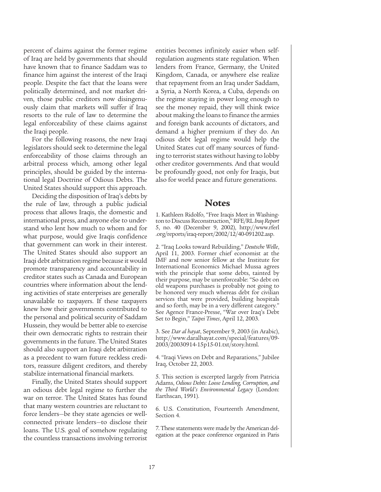percent of claims against the former regime of Iraq are held by governments that should have known that to finance Saddam was to finance him against the interest of the Iraqi people. Despite the fact that the loans were politically determined, and not market driven, those public creditors now disingenuously claim that markets will suffer if Iraq resorts to the rule of law to determine the legal enforceability of these claims against the Iraqi people.

For the following reasons, the new Iraqi legislators should seek to determine the legal enforceability of those claims through an arbitral process which, among other legal principles, should be guided by the international legal Doctrine of Odious Debts. The United States should support this approach.

Deciding the disposition of Iraq's debts by the rule of law, through a public judicial process that allows Iraqis, the domestic and international press, and anyone else to understand who lent how much to whom and for what purpose, would give Iraqis confidence that government can work in their interest. The United States should also support an Iraqi debt arbitration regime because it would promote transparency and accountability in creditor states such as Canada and European countries where information about the lending activities of state enterprises are generally unavailable to taxpayers. If these taxpayers knew how their governments contributed to the personal and political security of Saddam Hussein, they would be better able to exercise their own democratic rights to restrain their governments in the future. The United States should also support an Iraqi debt arbitration as a precedent to warn future reckless creditors, reassure diligent creditors, and thereby stabilize international financial markets.

Finally, the United States should support an odious debt legal regime to further the war on terror. The United States has found that many western countries are reluctant to force lenders—be they state agencies or wellconnected private lenders—to disclose their loans. The U.S. goal of somehow regulating the countless transactions involving terrorist

entities becomes infinitely easier when selfregulation augments state regulation. When lenders from France, Germany, the United Kingdom, Canada, or anywhere else realize that repayment from an Iraq under Saddam, a Syria, a North Korea, a Cuba, depends on the regime staying in power long enough to see the money repaid, they will think twice about making the loans to finance the armies and foreign bank accounts of dictators, and demand a higher premium if they do. An odious debt legal regime would help the United States cut off many sources of funding to terrorist states without having to lobby other creditor governments. And that would be profoundly good, not only for Iraqis, but also for world peace and future generations.

#### **Notes**

1. Kathleen Ridolfo, "Free Iraqis Meet in Washington to Discuss Reconstruction," RFE/RL *Iraq Report* 5, no. 40 (December 9, 2002), http://www.rferl .org/reports/iraq-report/2002/12/40-091202.asp.

2. "Iraq Looks toward Rebuilding," *Deutsche Welle*, April 11, 2003. Former chief economist at the IMF and now senior fellow at the Institute for International Economics Michael Mussa agrees with the principle that some debts, tainted by their purpose, may be unenforceable: "So debt on old weapons purchases is probably not going to be honored very much whereas debt for civilian services that were provided, building hospitals and so forth, may be in a very different category." See Agence France-Presse, "War over Iraq's Debt Set to Begin," *Taipei Times*, April 12, 2003.

3. See *Dar al hayat*, September 9, 2003 (in Arabic), http://www.daralhayat.com/special/features/09- 2003/20030914-15p15-01.txt/story.html.

4. "Iraqi Views on Debt and Reparations," Jubilee Iraq, October 22, 2003.

5. This section is excerpted largely from Patricia Adams, *Odious Debts: Loose Lending, Corruption, and the Third World's Environmental Legacy* (London: Earthscan, 1991).

6. U.S. Constitution, Fourteenth Amendment, Section 4.

7. These statements were made by the American delegation at the peace conference organized in Paris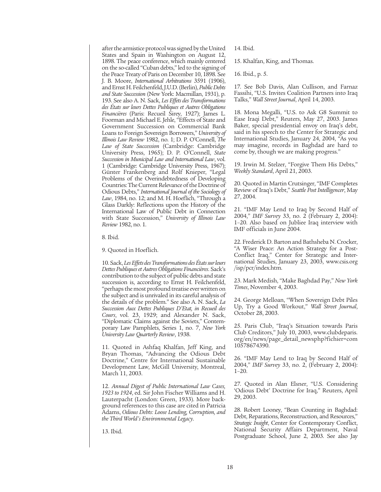after the armistice protocol was signed by the United States and Spain in Washington on August 12, 1898. The peace conference, which mainly centered on the so-called "Cuban debts," led to the signing of the Peace Treaty of Paris on December 10, 1898. See J. B. Moore, *International Arbitrations* 3591 (1906), and Ernst H. Feilchenfeld, J.U.D. (Berlin), *Public Debts and State Succession* (New York: Macmillan, 1931), p. 193. See also A. N. Sack, *Les Effets des Transformations des États sur leurs Dettes Publiques et Autres Obligations Financières* (Paris: Recueil Sirey, 1927); James L. Foorman and Michael E. Jehle, "Effects of State and Government Succession on Commercial Bank Loans to Foreign Sovereign Borrowers," *University of Illinois Law Review* 1982, no. 1; D. P. O'Connell, *The Law of State Succession* (Cambridge: Cambridge University Press, 1965); D. P. O'Connell, *State Succession in Municipal Law and International Law*, vol. 1 (Cambridge: Cambridge University Press, 1967); Günter Frankenberg and Rolf Knieper, "Legal Problems of the Overindebtedness of Developing Countries: The Current Relevance of the Doctrine of Odious Debts," *International Journal of the Sociology of Law*, 1984, no. 12; and M. H. Hoeflich, "Through a Glass Darkly: Reflections upon the History of the International Law of Public Debt in Connection with State Succession," *University of Illinois Law Review* 1982, no. 1.

8. Ibid.

9. Quoted in Hoeflich.

10. Sack, *Les Effets des Transformations des États sur leurs Dettes Publiques et Autres Obligations Financières*. Sack's contribution to the subject of public debts and state succession is, according to Ernst H. Feilchenfeld, "perhaps the most profound treatise ever written on the subject and is unrivaled in its careful analysis of the details of the problem." See also A. N. Sack, *La Succession Aux Dettes Publiques D'Etat, in Recueil des Cours*, vol. 23, 1929; and Alexander N. Sack, "Diplomatic Claims against the Soviets," Contemporary Law Pamphlets, Series 1, no. 7, *New York University Law Quarterly Review*, 1938.

11. Quoted in Ashfaq Khalfan, Jeff King, and Bryan Thomas, "Advancing the Odious Debt Doctrine," Centre for International Sustainable Development Law, McGill University, Montreal, March 11, 2003.

12. *Annual Digest of Public International Law Cases, 1923 to 1924*, ed. Sir John Fischer Williams and H. Lauterpacht (London: Green, 1933). More background references to this case are cited in Patricia Adams, *Odious Debts: Loose Lending, Corruption, and the Third World's Environmental Legacy*.

13. Ibid.

14. Ibid.

15. Khalfan, King, and Thomas.

16. Ibid., p. 5.

17. See Bob Davis, Alan Cullison, and Farnaz Fassihi, "U.S. Invites Coalition Partners into Iraq Talks," *Wall Street Journal*, April 14, 2003.

18. Mona Megalli, "U.S. to Ask G8 Summit to Ease Iraqi Debt," Reuters, May 27, 2003. James Baker, special presidential envoy on Iraq's debt, said in his speech to the Center for Strategic and International Studies, January 24, 2004, "As you may imagine, records in Baghdad are hard to come by, though we are making progress."

19. Irwin M. Stelzer, "Forgive Them His Debts," *Weekly Standard*, April 21, 2003.

20. Quoted in Martin Crutsinger, "IMF Completes Review of Iraq's Debt," *Seattle Post Intelligencer*, May 27, 2004.

21. "IMF May Lend to Iraq by Second Half of 2004," *IMF Survey* 33, no. 2 (February 2, 2004): 1–20. Also based on Jubliee Iraq interview with IMF officials in June 2004.

22. Frederick D. Barton and Bathsheba N. Crocker, "A Wiser Peace: An Action Strategy for a Post-Conflict Iraq," Center for Strategic and International Studies, January 23, 2003, www.csis.org /isp/pcr/index.htm.

23. Mark Medish, "Make Baghdad Pay," *New York Times*, November 4, 2003.

24. George Melloan, "When Sovereign Debt Piles Up, Try a Good Workout," *Wall Street Journal*, October 28, 2003.

25. Paris Club, "Iraq's Situation towards Paris Club Creditors," July 10, 2003, www.clubdeparis. org/en/news/page\_detail\_newsphp?fichier=com 10578674390.

26. "IMF May Lend to Iraq by Second Half of 2004," *IMF Survey* 33, no. 2, (February 2, 2004): 1–20.

27. Quoted in Alan Elsner, "U.S. Considering 'Odious Debt' Doctrine for Iraq," Reuters, April 29, 2003.

28. Robert Looney, "Bean Counting in Baghdad: Debt, Reparations, Reconstruction, and Resources," *Strategic Insight*, Center for Contemporary Conflict, National Security Affairs Department, Naval Postgraduate School, June 2, 2003. See also Jay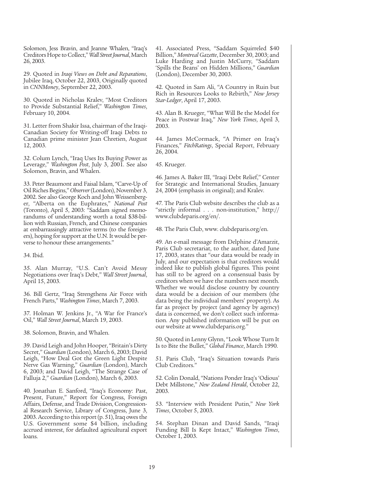Solomon, Jess Bravin, and Jeanne Whalen, "Iraq's Creditors Hope to Collect," *Wall Street Journal*, March 26, 2003.

29. Quoted in *Iraqi Views on Debt and Reparations*, Jubilee Iraq, October 22, 2003, Originally quoted in *CNNMoney*, September 22, 2003.

30. Quoted in Nicholas Kralev, "Most Creditors to Provide Substantial Relief," *Washington Times*, February 10, 2004.

31. Letter from Shakir Issa, chairman of the Iraqi-Canadian Society for Writing-off Iraqi Debts to Canadian prime minister Jean Chretien, August 12, 2003.

32. Colum Lynch, "Iraq Uses Its Buying Power as Leverage," *Washington Post*, July 3, 2001. See also Solomon, Bravin, and Whalen.

33. Peter Beaumont and Faisal Islam, "Carve-Up of Oil Riches Begins," *Observer*(London), November 3, 2002. See also George Koch and John Weissenberger, "Alberta on the Euphrates," *National Post* (Toronto), April 5, 2003: "Saddam signed memorandums of understanding worth a total \$38-billion with Russian, French, and Chinese companies at embarrassingly attractive terms (to the foreigners), hoping for support at the U.N. It would be perverse to honour these arrangements."

34. Ibid.

35. Alan Murray, "U.S. Can't Avoid Messy Negotiations over Iraq's Debt," *Wall Street Journal*, April 15, 2003.

36. Bill Gertz, "Iraq Strengthens Air Force with French Parts," *Washington Times*, March 7, 2003.

37. Holman W. Jenkins Jr., "A War for France's Oil," *Wall Street Journal*, March 19, 2003.

38. Solomon, Bravin, and Whalen.

39. David Leigh and John Hooper, "Britain's Dirty Secret," *Guardian* (London), March 6, 2003; David Leigh, "How Deal Got the Green Light Despite Nerve Gas Warning," *Guardian* (London), March 6, 2003; and David Leigh, "The Strange Case of Falluja 2," *Guardian* (London), March 6, 2003.

40. Jonathan E. Sanford, "Iraq's Economy: Past, Present, Future," Report for Congress, Foreign Affairs, Defense, and Trade Division, Congressional Research Service, Library of Congress, June 3, 2003. According to this report (p. 51), Iraq owes the U.S. Government some \$4 billion, including accrued interest, for defaulted agricultural export loans.

41. Associated Press, "Saddam Squirreled \$40 Billion," *Montreal Gazette*, December 30, 2003; and Luke Harding and Justin McCurry, "Saddam 'Spills the Beans' on Hidden Millions," *Guardian* (London), December 30, 2003.

42. Quoted in Sam Ali, "A Country in Ruin but Rich in Resources Looks to Rebirth," *New Jersey Star-Ledger*, April 17, 2003.

43. Alan B. Krueger, "What Will Be the Model for Peace in Postwar Iraq," *New York Times*, April 3, 2003.

44. James McCormack, "A Primer on Iraq's Finances," *FitchRatings*, Special Report, February 26, 2004.

45. Krueger.

46. James A. Baker III, "Iraqi Debt Relief," Center for Strategic and International Studies, January 24, 2004 (emphasis in original); and Kralev.

47. The Paris Club website describes the club as a "strictly informal . . . non-institution," http:// www.clubdeparis.org/en/.

48. The Paris Club, www. clubdeparis.org/en.

49. An e-mail message from Delphine d'Amarzit, Paris Club secretariat, to the author, dated June 17, 2003, states that "our data would be ready in July, and our expectation is that creditors would indeed like to publish global figures. This point has still to be agreed on a consensual basis by creditors when we have the numbers next month. Whether we would disclose country by country data would be a decision of our members (the data being the individual members' property). As far as project by project (and agency by agency) data is concerned, we don't collect such information. Any published information will be put on our website at www.clubdeparis.org."

50. Quoted in Lenny Glynn, "Look Whose Turn It Is to Bite the Bullet," *Global Finance*, March 1990.

51. Paris Club, "Iraq's Situation towards Paris Club Creditors."

52. Colin Donald, "Nations Ponder Iraq's 'Odious' Debt Millstone," *New Zealand Herald*, October 22, 2003.

53. "Interview with President Putin," *New York Times*, October 5, 2003.

54. Stephan Dinan and David Sands, "Iraqi Funding Bill Is Kept Intact," *Washington Times*, October 1, 2003.